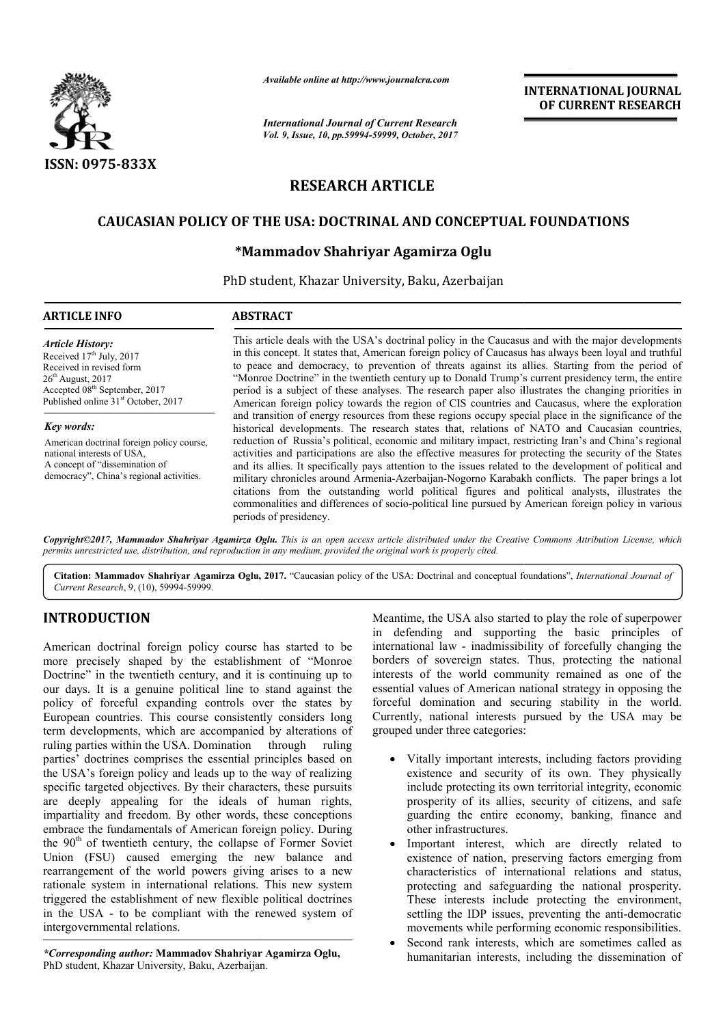

*Available online at http://www.journalcra.com*

## **INTERNATIONAL JOURNAL OF CURRENT RESEARCH**

# **RESEARCH ARTICLE**

### **CAUCASIAN POLICY OF THE USA: DOCTRINAL AND CONCEPTUAL FOUNDATIONS**

#### **\*Mammadov Shahriyar Agamirza Oglu Mammadov**

|                                                                                                                                                                                                                                                                                                                                                                                                                                                                                                                                                                                                                                                                                                                                                                                                                                                                                 | лтаните опине игнир.//www.journaicra.com<br><b>International Journal of Current Research</b><br>Vol. 9, Issue, 10, pp.59994-59999, October, 2017                                                                                                                                                                                                                                                                                                                                                                                                                                                                                                                                                                                                                                                                                                                                                                                                                                                                                                                                                                                                                                                                                                                                                                                                                                                                                                                                                                       | <b>INTERNATIONAL JOURNAL</b><br>OF CURRENT RESEARCH                                                                                                                                                                                                                                                                                                                                                                                                                                                                                                                                                                                                                                                                                                                                                                                                               |
|---------------------------------------------------------------------------------------------------------------------------------------------------------------------------------------------------------------------------------------------------------------------------------------------------------------------------------------------------------------------------------------------------------------------------------------------------------------------------------------------------------------------------------------------------------------------------------------------------------------------------------------------------------------------------------------------------------------------------------------------------------------------------------------------------------------------------------------------------------------------------------|------------------------------------------------------------------------------------------------------------------------------------------------------------------------------------------------------------------------------------------------------------------------------------------------------------------------------------------------------------------------------------------------------------------------------------------------------------------------------------------------------------------------------------------------------------------------------------------------------------------------------------------------------------------------------------------------------------------------------------------------------------------------------------------------------------------------------------------------------------------------------------------------------------------------------------------------------------------------------------------------------------------------------------------------------------------------------------------------------------------------------------------------------------------------------------------------------------------------------------------------------------------------------------------------------------------------------------------------------------------------------------------------------------------------------------------------------------------------------------------------------------------------|-------------------------------------------------------------------------------------------------------------------------------------------------------------------------------------------------------------------------------------------------------------------------------------------------------------------------------------------------------------------------------------------------------------------------------------------------------------------------------------------------------------------------------------------------------------------------------------------------------------------------------------------------------------------------------------------------------------------------------------------------------------------------------------------------------------------------------------------------------------------|
|                                                                                                                                                                                                                                                                                                                                                                                                                                                                                                                                                                                                                                                                                                                                                                                                                                                                                 |                                                                                                                                                                                                                                                                                                                                                                                                                                                                                                                                                                                                                                                                                                                                                                                                                                                                                                                                                                                                                                                                                                                                                                                                                                                                                                                                                                                                                                                                                                                        |                                                                                                                                                                                                                                                                                                                                                                                                                                                                                                                                                                                                                                                                                                                                                                                                                                                                   |
| <b>ISSN: 0975-833X</b>                                                                                                                                                                                                                                                                                                                                                                                                                                                                                                                                                                                                                                                                                                                                                                                                                                                          |                                                                                                                                                                                                                                                                                                                                                                                                                                                                                                                                                                                                                                                                                                                                                                                                                                                                                                                                                                                                                                                                                                                                                                                                                                                                                                                                                                                                                                                                                                                        |                                                                                                                                                                                                                                                                                                                                                                                                                                                                                                                                                                                                                                                                                                                                                                                                                                                                   |
|                                                                                                                                                                                                                                                                                                                                                                                                                                                                                                                                                                                                                                                                                                                                                                                                                                                                                 | <b>RESEARCH ARTICLE</b>                                                                                                                                                                                                                                                                                                                                                                                                                                                                                                                                                                                                                                                                                                                                                                                                                                                                                                                                                                                                                                                                                                                                                                                                                                                                                                                                                                                                                                                                                                |                                                                                                                                                                                                                                                                                                                                                                                                                                                                                                                                                                                                                                                                                                                                                                                                                                                                   |
|                                                                                                                                                                                                                                                                                                                                                                                                                                                                                                                                                                                                                                                                                                                                                                                                                                                                                 |                                                                                                                                                                                                                                                                                                                                                                                                                                                                                                                                                                                                                                                                                                                                                                                                                                                                                                                                                                                                                                                                                                                                                                                                                                                                                                                                                                                                                                                                                                                        | <b>CAUCASIAN POLICY OF THE USA: DOCTRINAL AND CONCEPTUAL FOUNDATIONS</b>                                                                                                                                                                                                                                                                                                                                                                                                                                                                                                                                                                                                                                                                                                                                                                                          |
|                                                                                                                                                                                                                                                                                                                                                                                                                                                                                                                                                                                                                                                                                                                                                                                                                                                                                 |                                                                                                                                                                                                                                                                                                                                                                                                                                                                                                                                                                                                                                                                                                                                                                                                                                                                                                                                                                                                                                                                                                                                                                                                                                                                                                                                                                                                                                                                                                                        |                                                                                                                                                                                                                                                                                                                                                                                                                                                                                                                                                                                                                                                                                                                                                                                                                                                                   |
|                                                                                                                                                                                                                                                                                                                                                                                                                                                                                                                                                                                                                                                                                                                                                                                                                                                                                 |                                                                                                                                                                                                                                                                                                                                                                                                                                                                                                                                                                                                                                                                                                                                                                                                                                                                                                                                                                                                                                                                                                                                                                                                                                                                                                                                                                                                                                                                                                                        | *Mammadov Shahriyar Agamirza Oglu                                                                                                                                                                                                                                                                                                                                                                                                                                                                                                                                                                                                                                                                                                                                                                                                                                 |
|                                                                                                                                                                                                                                                                                                                                                                                                                                                                                                                                                                                                                                                                                                                                                                                                                                                                                 |                                                                                                                                                                                                                                                                                                                                                                                                                                                                                                                                                                                                                                                                                                                                                                                                                                                                                                                                                                                                                                                                                                                                                                                                                                                                                                                                                                                                                                                                                                                        | PhD student, Khazar University, Baku, Azerbaijan                                                                                                                                                                                                                                                                                                                                                                                                                                                                                                                                                                                                                                                                                                                                                                                                                  |
| <b>ARTICLE INFO</b>                                                                                                                                                                                                                                                                                                                                                                                                                                                                                                                                                                                                                                                                                                                                                                                                                                                             | <b>ABSTRACT</b>                                                                                                                                                                                                                                                                                                                                                                                                                                                                                                                                                                                                                                                                                                                                                                                                                                                                                                                                                                                                                                                                                                                                                                                                                                                                                                                                                                                                                                                                                                        |                                                                                                                                                                                                                                                                                                                                                                                                                                                                                                                                                                                                                                                                                                                                                                                                                                                                   |
| <b>Article History:</b><br>Received 17th July, 2017<br>Received in revised form<br>26 <sup>th</sup> August, 2017<br>Accepted 08 <sup>th</sup> September, 2017<br>Published online 31 <sup>st</sup> October, 2017                                                                                                                                                                                                                                                                                                                                                                                                                                                                                                                                                                                                                                                                | This article deals with the USA's doctrinal policy in the Caucasus and with the major developments<br>in this concept. It states that, American foreign policy of Caucasus has always been loyal and truthful<br>to peace and democracy, to prevention of threats against its allies. Starting from the period of<br>"Monroe Doctrine" in the twentieth century up to Donald Trump's current presidency term, the entire<br>period is a subject of these analyses. The research paper also illustrates the changing priorities in<br>American foreign policy towards the region of CIS countries and Caucasus, where the exploration<br>and transition of energy resources from these regions occupy special place in the significance of the<br>historical developments. The research states that, relations of NATO and Caucasian countries,<br>reduction of Russia's political, economic and military impact, restricting Iran's and China's regional<br>activities and participations are also the effective measures for protecting the security of the States<br>and its allies. It specifically pays attention to the issues related to the development of political and<br>military chronicles around Armenia-Azerbaijan-Nogorno Karabakh conflicts. The paper brings a lot<br>citations from the outstanding world political figures and political analysts, illustrates the<br>commonalities and differences of socio-political line pursued by American foreign policy in various<br>periods of presidency. |                                                                                                                                                                                                                                                                                                                                                                                                                                                                                                                                                                                                                                                                                                                                                                                                                                                                   |
| Key words:<br>American doctrinal foreign policy course,<br>national interests of USA,<br>A concept of "dissemination of<br>democracy", China's regional activities.                                                                                                                                                                                                                                                                                                                                                                                                                                                                                                                                                                                                                                                                                                             |                                                                                                                                                                                                                                                                                                                                                                                                                                                                                                                                                                                                                                                                                                                                                                                                                                                                                                                                                                                                                                                                                                                                                                                                                                                                                                                                                                                                                                                                                                                        |                                                                                                                                                                                                                                                                                                                                                                                                                                                                                                                                                                                                                                                                                                                                                                                                                                                                   |
| permits unrestricted use, distribution, and reproduction in any medium, provided the original work is properly cited.                                                                                                                                                                                                                                                                                                                                                                                                                                                                                                                                                                                                                                                                                                                                                           |                                                                                                                                                                                                                                                                                                                                                                                                                                                                                                                                                                                                                                                                                                                                                                                                                                                                                                                                                                                                                                                                                                                                                                                                                                                                                                                                                                                                                                                                                                                        | Copyright©2017, Mammadov Shahriyar Agamirza Oglu. This is an open access article distributed under the Creative Commons Attribution License, which                                                                                                                                                                                                                                                                                                                                                                                                                                                                                                                                                                                                                                                                                                                |
| Current Research, 9, (10), 59994-59999.                                                                                                                                                                                                                                                                                                                                                                                                                                                                                                                                                                                                                                                                                                                                                                                                                                         |                                                                                                                                                                                                                                                                                                                                                                                                                                                                                                                                                                                                                                                                                                                                                                                                                                                                                                                                                                                                                                                                                                                                                                                                                                                                                                                                                                                                                                                                                                                        | Citation: Mammadov Shahriyar Agamirza Oglu, 2017. "Caucasian policy of the USA: Doctrinal and conceptual foundations", International Journal of                                                                                                                                                                                                                                                                                                                                                                                                                                                                                                                                                                                                                                                                                                                   |
| <b>INTRODUCTION</b><br>American doctrinal foreign policy course has started to be<br>more precisely shaped by the establishment of "Monroe"<br>Doctrine" in the twentieth century, and it is continuing up to<br>our days. It is a genuine political line to stand against the<br>policy of forceful expanding controls over the states by<br>European countries. This course consistently considers long<br>term developments, which are accompanied by alterations of<br>ruling parties within the USA. Domination<br>through<br>ruling                                                                                                                                                                                                                                                                                                                                       |                                                                                                                                                                                                                                                                                                                                                                                                                                                                                                                                                                                                                                                                                                                                                                                                                                                                                                                                                                                                                                                                                                                                                                                                                                                                                                                                                                                                                                                                                                                        | Meantime, the USA also started to play the role of superpower                                                                                                                                                                                                                                                                                                                                                                                                                                                                                                                                                                                                                                                                                                                                                                                                     |
|                                                                                                                                                                                                                                                                                                                                                                                                                                                                                                                                                                                                                                                                                                                                                                                                                                                                                 |                                                                                                                                                                                                                                                                                                                                                                                                                                                                                                                                                                                                                                                                                                                                                                                                                                                                                                                                                                                                                                                                                                                                                                                                                                                                                                                                                                                                                                                                                                                        | in defending and supporting the basic principles of<br>international law - inadmissibility of forcefully changing the<br>borders of sovereign states. Thus, protecting the national<br>interests of the world community remained as one of the<br>essential values of American national strategy in opposing the<br>forceful domination and securing stability in the world.<br>Currently, national interests pursued by the USA may be<br>grouped under three categories:                                                                                                                                                                                                                                                                                                                                                                                        |
| parties' doctrines comprises the essential principles based on<br>the USA's foreign policy and leads up to the way of realizing<br>specific targeted objectives. By their characters, these pursuits<br>are deeply appealing for the ideals of human rights,<br>impartiality and freedom. By other words, these conceptions<br>embrace the fundamentals of American foreign policy. During<br>the 90 <sup>th</sup> of twentieth century, the collapse of Former Soviet<br>Union (FSU) caused emerging the new balance and<br>rearrangement of the world powers giving arises to a new<br>rationale system in international relations. This new system<br>triggered the establishment of new flexible political doctrines<br>in the USA - to be compliant with the renewed system of<br>intergovernmental relations.<br>*Corresponding author: Mammadov Shahriyar Agamirza Oglu, |                                                                                                                                                                                                                                                                                                                                                                                                                                                                                                                                                                                                                                                                                                                                                                                                                                                                                                                                                                                                                                                                                                                                                                                                                                                                                                                                                                                                                                                                                                                        | Vitally important interests, including factors providing<br>existence and security of its own. They physically<br>include protecting its own territorial integrity, economic<br>prosperity of its allies, security of citizens, and safe<br>guarding the entire economy, banking, finance and<br>other infrastructures.<br>Important interest, which are directly related to<br>$\bullet$<br>existence of nation, preserving factors emerging from<br>characteristics of international relations and status,<br>protecting and safeguarding the national prosperity.<br>These interests include protecting the environment,<br>settling the IDP issues, preventing the anti-democratic<br>movements while performing economic responsibilities.<br>Second rank interests, which are sometimes called as<br>humanitarian interests, including the dissemination of |

#### **INTRODUCTION**

*\*Corresponding author:* **Mammadov Shahriyar Agamirza Oglu Oglu,** PhD student, Khazar University, Baku, Azerbaijan Azerbaijan.

- Vitally important interests, including factors providing existence and security of its own. They physically include protecting its own territorial integrity, economic prosperity of its allies, security of citizens, and safe guarding the entire economy, banking, finance and other infrastructures. orceful domination and securing stability in the world.<br>Currently, national interests pursued by the USA may be<br>grouped under three categories:<br><br>• Vitally important interests, including factors providing<br>existence and secu
	- Important interest, which are directly related to existence of nation, preserving factors emerging from characteristics of international relations and status, protecting and safeguarding the national prosperity. These interests include protecting the environment, settling the IDP issues, preventing the anti-democratic movements while performing economic responsibilities.
	- Second rank interests, which are sometimes called as humanitarian interests, including the dissemination of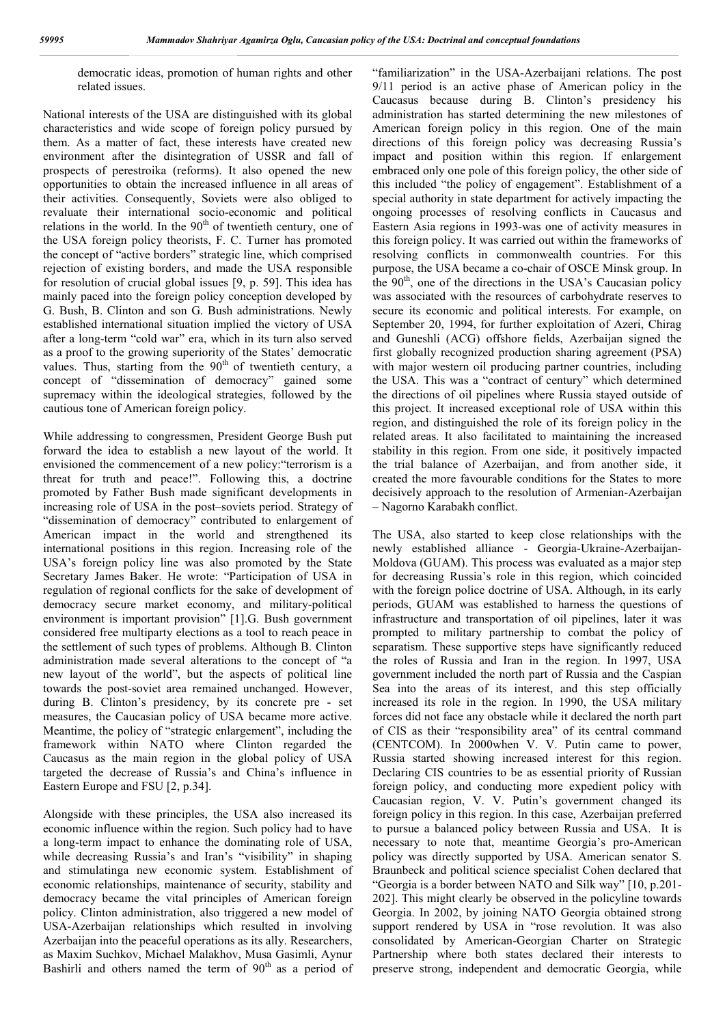democratic ideas, promotion of human rights and other related issues.

National interests of the USA are distinguished with its global characteristics and wide scope of foreign policy pursued by them. As a matter of fact, these interests have created new environment after the disintegration of USSR and fall of prospects of perestroika (reforms). It also opened the new opportunities to obtain the increased influence in all areas of their activities. Consequently, Soviets were also obliged to revaluate their international socio-economic and political relations in the world. In the  $90<sup>th</sup>$  of twentieth century, one of the USA foreign policy theorists, F. C. Turner has promoted the concept of "active borders" strategic line, which comprised rejection of existing borders, and made the USA responsible for resolution of crucial global issues [9, p. 59]. This idea has mainly paced into the foreign policy conception developed by G. Bush, B. Clinton and son G. Bush administrations. Newly established international situation implied the victory of USA after a long-term "cold war" era, which in its turn also served as a proof to the growing superiority of the States' democratic values. Thus, starting from the  $90<sup>th</sup>$  of twentieth century, a concept of "dissemination of democracy" gained some supremacy within the ideological strategies, followed by the cautious tone of American foreign policy.

While addressing to congressmen, President George Bush put forward the idea to establish a new layout of the world. It envisioned the commencement of a new policy:"terrorism is a threat for truth and peace!". Following this, a doctrine promoted by Father Bush made significant developments in increasing role of USA in the post–soviets period. Strategy of "dissemination of democracy" contributed to enlargement of American impact in the world and strengthened its international positions in this region. Increasing role of the USA's foreign policy line was also promoted by the State Secretary James Baker. He wrote: "Participation of USA in regulation of regional conflicts for the sake of development of democracy secure market economy, and military-political environment is important provision" [1].G. Bush government considered free multiparty elections as a tool to reach peace in the settlement of such types of problems. Although B. Clinton administration made several alterations to the concept of "a new layout of the world", but the aspects of political line towards the post-soviet area remained unchanged. However, during B. Clinton's presidency, by its concrete pre - set measures, the Caucasian policy of USA became more active. Meantime, the policy of "strategic enlargement", including the framework within NATO where Clinton regarded the Caucasus as the main region in the global policy of USA targeted the decrease of Russia's and China's influence in Eastern Europe and FSU [2, p.34].

Alongside with these principles, the USA also increased its economic influence within the region. Such policy had to have a long-term impact to enhance the dominating role of USA, while decreasing Russia's and Iran's "visibility" in shaping and stimulatinga new economic system. Establishment of economic relationships, maintenance of security, stability and democracy became the vital principles of American foreign policy. Clinton administration, also triggered a new model of USA-Azerbaijan relationships which resulted in involving Azerbaijan into the peaceful operations as its ally. Researchers, as Maxim Suchkov, Michael Malakhov, Musa Gasimli, Aynur Bashirli and others named the term of  $90<sup>th</sup>$  as a period of

"familiarization" in the USA-Azerbaijani relations. The post 9/11 period is an active phase of American policy in the Caucasus because during B. Clinton's presidency his administration has started determining the new milestones of American foreign policy in this region. One of the main directions of this foreign policy was decreasing Russia's impact and position within this region. If enlargement embraced only one pole of this foreign policy, the other side of this included "the policy of engagement". Establishment of a special authority in state department for actively impacting the ongoing processes of resolving conflicts in Caucasus and Eastern Asia regions in 1993-was one of activity measures in this foreign policy. It was carried out within the frameworks of resolving conflicts in commonwealth countries. For this purpose, the USA became a co-chair of OSCE Minsk group. In the  $90<sup>th</sup>$ , one of the directions in the USA's Caucasian policy was associated with the resources of carbohydrate reserves to secure its economic and political interests. For example, on September 20, 1994, for further exploitation of Azeri, Chirag and Guneshli (ACG) offshore fields, Azerbaijan signed the first globally recognized production sharing agreement (PSA) with major western oil producing partner countries, including the USA. This was a "contract of century" which determined the directions of oil pipelines where Russia stayed outside of this project. It increased exceptional role of USA within this region, and distinguished the role of its foreign policy in the related areas. It also facilitated to maintaining the increased stability in this region. From one side, it positively impacted the trial balance of Azerbaijan, and from another side, it created the more favourable conditions for the States to more decisively approach to the resolution of Armenian-Azerbaijan – Nagorno Karabakh conflict.

The USA, also started to keep close relationships with the newly established alliance - Georgia-Ukraine-Azerbaijan-Moldova (GUAM). This process was evaluated as a major step for decreasing Russia's role in this region, which coincided with the foreign police doctrine of USA. Although, in its early periods, GUAM was established to harness the questions of infrastructure and transportation of oil pipelines, later it was prompted to military partnership to combat the policy of separatism. These supportive steps have significantly reduced the roles of Russia and Iran in the region. In 1997, USA government included the north part of Russia and the Caspian Sea into the areas of its interest, and this step officially increased its role in the region. In 1990, the USA military forces did not face any obstacle while it declared the north part of CIS as their "responsibility area" of its central command (CENTCOM). In 2000when V. V. Putin came to power, Russia started showing increased interest for this region. Declaring CIS countries to be as essential priority of Russian foreign policy, and conducting more expedient policy with Caucasian region, V. V. Putin's government changed its foreign policy in this region. In this case, Azerbaijan preferred to pursue a balanced policy between Russia and USA. It is necessary to note that, meantime Georgia's pro-American policy was directly supported by USA. American senator S. Braunbeck and political science specialist Cohen declared that "Georgia is a border between NATO and Silk way" [10, p.201- 202]. This might clearly be observed in the policyline towards Georgia. In 2002, by joining NATO Georgia obtained strong support rendered by USA in "rose revolution. It was also consolidated by American-Georgian Charter on Strategic Partnership where both states declared their interests to preserve strong, independent and democratic Georgia, while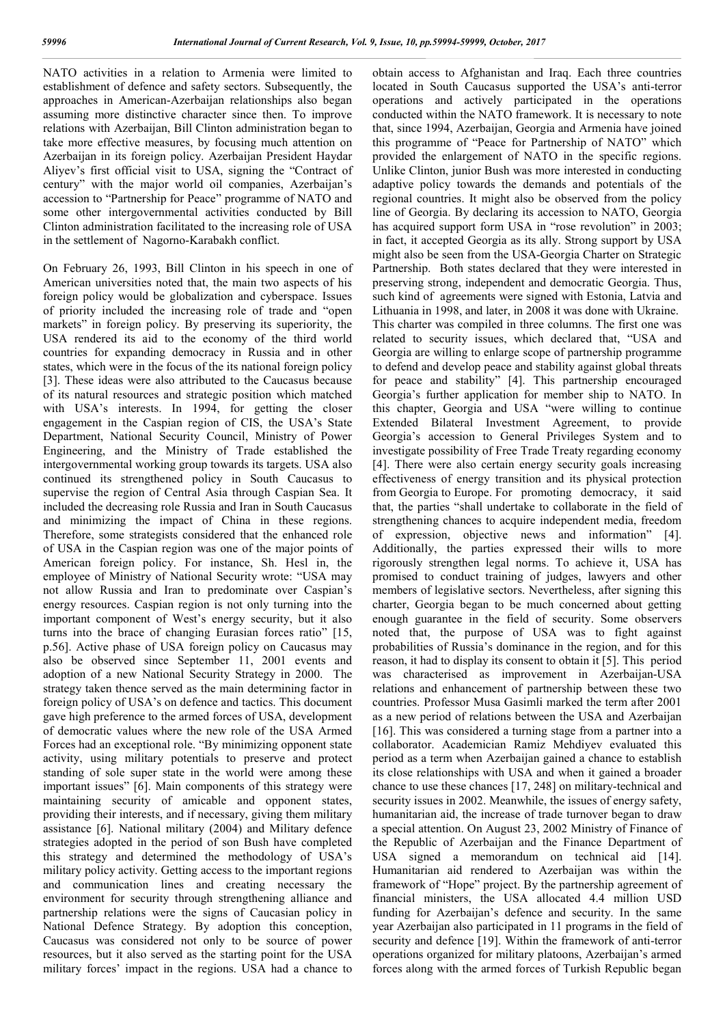NATO activities in a relation to Armenia were limited to establishment of defence and safety sectors. Subsequently, the approaches in American-Azerbaijan relationships also began assuming more distinctive character since then. To improve relations with Azerbaijan, Bill Clinton administration began to take more effective measures, by focusing much attention on Azerbaijan in its foreign policy. Azerbaijan President Haydar Aliyev's first official visit to USA, signing the "Contract of century" with the major world oil companies, Azerbaijan's accession to "Partnership for Peace" programme of NATO and some other intergovernmental activities conducted by Bill Clinton administration facilitated to the increasing role of USA in the settlement of Nagorno-Karabakh conflict.

On February 26, 1993, Bill Clinton in his speech in one of American universities noted that, the main two aspects of his foreign policy would be globalization and cyberspace. Issues of priority included the increasing role of trade and "open markets" in foreign policy. By preserving its superiority, the USA rendered its aid to the economy of the third world countries for expanding democracy in Russia and in other states, which were in the focus of the its national foreign policy [3]. These ideas were also attributed to the Caucasus because of its natural resources and strategic position which matched with USA's interests. In 1994, for getting the closer engagement in the Caspian region of CIS, the USA's State Department, National Security Council, Ministry of Power Engineering, and the Ministry of Trade established the intergovernmental working group towards its targets. USA also continued its strengthened policy in South Caucasus to supervise the region of Central Asia through Caspian Sea. It included the decreasing role Russia and Iran in South Caucasus and minimizing the impact of China in these regions. Therefore, some strategists considered that the enhanced role of USA in the Caspian region was one of the major points of American foreign policy. For instance, Sh. Hesl in, the employee of Ministry of National Security wrote: "USA may not allow Russia and Iran to predominate over Caspian's energy resources. Caspian region is not only turning into the important component of West's energy security, but it also turns into the brace of changing Eurasian forces ratio" [15, p.56]. Active phase of USA foreign policy on Caucasus may also be observed since September 11, 2001 events and adoption of a new National Security Strategy in 2000. The strategy taken thence served as the main determining factor in foreign policy of USA's on defence and tactics. This document gave high preference to the armed forces of USA, development of democratic values where the new role of the USA Armed Forces had an exceptional role. "By minimizing opponent state activity, using military potentials to preserve and protect standing of sole super state in the world were among these important issues" [6]. Main components of this strategy were maintaining security of amicable and opponent states, providing their interests, and if necessary, giving them military assistance [6]. National military (2004) and Military defence strategies adopted in the period of son Bush have completed this strategy and determined the methodology of USA's military policy activity. Getting access to the important regions and communication lines and creating necessary the environment for security through strengthening alliance and partnership relations were the signs of Caucasian policy in National Defence Strategy. By adoption this conception, Caucasus was considered not only to be source of power resources, but it also served as the starting point for the USA military forces' impact in the regions. USA had a chance to

obtain access to Afghanistan and Iraq. Each three countries located in South Caucasus supported the USA's anti-terror operations and actively participated in the operations conducted within the NATO framework. It is necessary to note that, since 1994, Azerbaijan, Georgia and Armenia have joined this programme of "Peace for Partnership of NATO" which provided the enlargement of NATO in the specific regions. Unlike Clinton, junior Bush was more interested in conducting adaptive policy towards the demands and potentials of the regional countries. It might also be observed from the policy line of Georgia. By declaring its accession to NATO, Georgia has acquired support form USA in "rose revolution" in 2003; in fact, it accepted Georgia as its ally. Strong support by USA might also be seen from the USA-Georgia Charter on Strategic Partnership. Both states declared that they were interested in preserving strong, independent and democratic Georgia. Thus, such kind of agreements were signed with Estonia, Latvia and Lithuania in 1998, and later, in 2008 it was done with Ukraine. This charter was compiled in three columns. The first one was related to security issues, which declared that, "USA and Georgia are willing to enlarge scope of partnership programme to defend and develop peace and stability against global threats for peace and stability" [4]. This partnership encouraged Georgia's further application for member ship to NATO. In this chapter, Georgia and USA "were willing to continue Extended Bilateral Investment Agreement, to provide Georgia's accession to General Privileges System and to investigate possibility of Free Trade Treaty regarding economy [4]. There were also certain energy security goals increasing effectiveness of energy transition and its physical protection from Georgia to Europe. For promoting democracy, it said that, the parties "shall undertake to collaborate in the field of strengthening chances to acquire independent media, freedom of expression, objective news and information" [4]. Additionally, the parties expressed their wills to more rigorously strengthen legal norms. To achieve it, USA has promised to conduct training of judges, lawyers and other members of legislative sectors. Nevertheless, after signing this charter, Georgia began to be much concerned about getting enough guarantee in the field of security. Some observers noted that, the purpose of USA was to fight against probabilities of Russia's dominance in the region, and for this reason, it had to display its consent to obtain it [5]. This period was characterised as improvement in Azerbaijan-USA relations and enhancement of partnership between these two countries. Professor Musa Gasimli marked the term after 2001 as a new period of relations between the USA and Azerbaijan [16]. This was considered a turning stage from a partner into a collaborator. Academician Ramiz Mehdiyev evaluated this period as a term when Azerbaijan gained a chance to establish its close relationships with USA and when it gained a broader chance to use these chances [17, 248] on military-technical and security issues in 2002. Meanwhile, the issues of energy safety, humanitarian aid, the increase of trade turnover began to draw a special attention. On August 23, 2002 Ministry of Finance of the Republic of Azerbaijan and the Finance Department of USA signed a memorandum on technical aid [14]. Humanitarian aid rendered to Azerbaijan was within the framework of "Hope" project. By the partnership agreement of financial ministers, the USA allocated 4.4 million USD funding for Azerbaijan's defence and security. In the same year Azerbaijan also participated in 11 programs in the field of security and defence [19]. Within the framework of anti-terror operations organized for military platoons, Azerbaijan's armed forces along with the armed forces of Turkish Republic began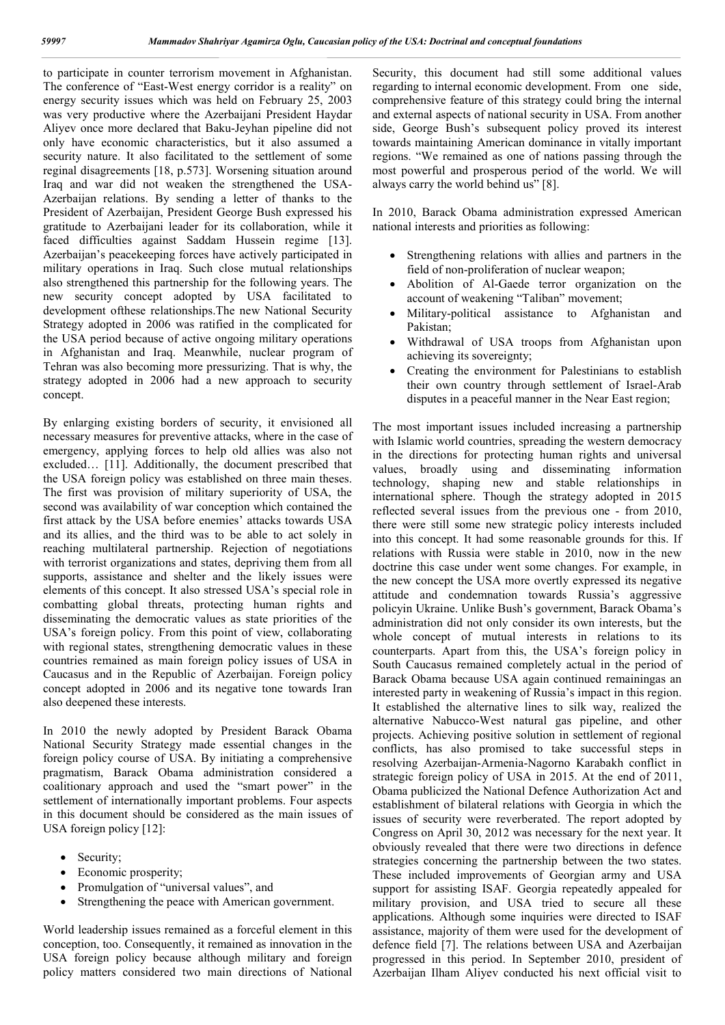to participate in counter terrorism movement in Afghanistan. The conference of "East-West energy corridor is a reality" on energy security issues which was held on February 25, 2003 was very productive where the Azerbaijani President Haydar Aliyev once more declared that Baku-Jeyhan pipeline did not only have economic characteristics, but it also assumed a security nature. It also facilitated to the settlement of some reginal disagreements [18, p.573]. Worsening situation around Iraq and war did not weaken the strengthened the USA-Azerbaijan relations. By sending a letter of thanks to the President of Azerbaijan, President George Bush expressed his gratitude to Azerbaijani leader for its collaboration, while it faced difficulties against Saddam Hussein regime [13]. Azerbaijan's peacekeeping forces have actively participated in military operations in Iraq. Such close mutual relationships also strengthened this partnership for the following years. The new security concept adopted by USA facilitated to development ofthese relationships.The new National Security Strategy adopted in 2006 was ratified in the complicated for the USA period because of active ongoing military operations in Afghanistan and Iraq. Meanwhile, nuclear program of Tehran was also becoming more pressurizing. That is why, the strategy adopted in 2006 had a new approach to security concept.

By enlarging existing borders of security, it envisioned all necessary measures for preventive attacks, where in the case of emergency, applying forces to help old allies was also not excluded… [11]. Additionally, the document prescribed that the USA foreign policy was established on three main theses. The first was provision of military superiority of USA, the second was availability of war conception which contained the first attack by the USA before enemies' attacks towards USA and its allies, and the third was to be able to act solely in reaching multilateral partnership. Rejection of negotiations with terrorist organizations and states, depriving them from all supports, assistance and shelter and the likely issues were elements of this concept. It also stressed USA's special role in combatting global threats, protecting human rights and disseminating the democratic values as state priorities of the USA's foreign policy. From this point of view, collaborating with regional states, strengthening democratic values in these countries remained as main foreign policy issues of USA in Caucasus and in the Republic of Azerbaijan. Foreign policy concept adopted in 2006 and its negative tone towards Iran also deepened these interests.

In 2010 the newly adopted by President Barack Obama National Security Strategy made essential changes in the foreign policy course of USA. By initiating a comprehensive pragmatism, Barack Obama administration considered a coalitionary approach and used the "smart power" in the settlement of internationally important problems. Four aspects in this document should be considered as the main issues of USA foreign policy [12]:

- Security;
- Economic prosperity;
- Promulgation of "universal values", and
- Strengthening the peace with American government.

World leadership issues remained as a forceful element in this conception, too. Consequently, it remained as innovation in the USA foreign policy because although military and foreign policy matters considered two main directions of National

Security, this document had still some additional values regarding to internal economic development. From one side, comprehensive feature of this strategy could bring the internal and external aspects of national security in USA. From another side, George Bush's subsequent policy proved its interest towards maintaining American dominance in vitally important regions. "We remained as one of nations passing through the most powerful and prosperous period of the world. We will always carry the world behind us" [8].

In 2010, Barack Obama administration expressed American national interests and priorities as following:

- Strengthening relations with allies and partners in the field of non-proliferation of nuclear weapon;
- Abolition of Al-Gaede terror organization on the account of weakening "Taliban" movement;
- Military-political assistance to Afghanistan and Pakistan;
- Withdrawal of USA troops from Afghanistan upon achieving its sovereignty;
- Creating the environment for Palestinians to establish their own country through settlement of Israel-Arab disputes in a peaceful manner in the Near East region;

The most important issues included increasing a partnership with Islamic world countries, spreading the western democracy in the directions for protecting human rights and universal values, broadly using and disseminating information technology, shaping new and stable relationships in international sphere. Though the strategy adopted in 2015 reflected several issues from the previous one - from 2010, there were still some new strategic policy interests included into this concept. It had some reasonable grounds for this. If relations with Russia were stable in 2010, now in the new doctrine this case under went some changes. For example, in the new concept the USA more overtly expressed its negative attitude and condemnation towards Russia's aggressive policyin Ukraine. Unlike Bush's government, Barack Obama's administration did not only consider its own interests, but the whole concept of mutual interests in relations to its counterparts. Apart from this, the USA's foreign policy in South Caucasus remained completely actual in the period of Barack Obama because USA again continued remainingas an interested party in weakening of Russia's impact in this region. It established the alternative lines to silk way, realized the alternative Nabucco-West natural gas pipeline, and other projects. Achieving positive solution in settlement of regional conflicts, has also promised to take successful steps in resolving Azerbaijan-Armenia-Nagorno Karabakh conflict in strategic foreign policy of USA in 2015. At the end of 2011, Obama publicized the National Defence Authorization Act and establishment of bilateral relations with Georgia in which the issues of security were reverberated. The report adopted by Congress on April 30, 2012 was necessary for the next year. It obviously revealed that there were two directions in defence strategies concerning the partnership between the two states. These included improvements of Georgian army and USA support for assisting ISAF. Georgia repeatedly appealed for military provision, and USA tried to secure all these applications. Although some inquiries were directed to ISAF assistance, majority of them were used for the development of defence field [7]. The relations between USA and Azerbaijan progressed in this period. In September 2010, president of Azerbaijan Ilham Aliyev conducted his next official visit to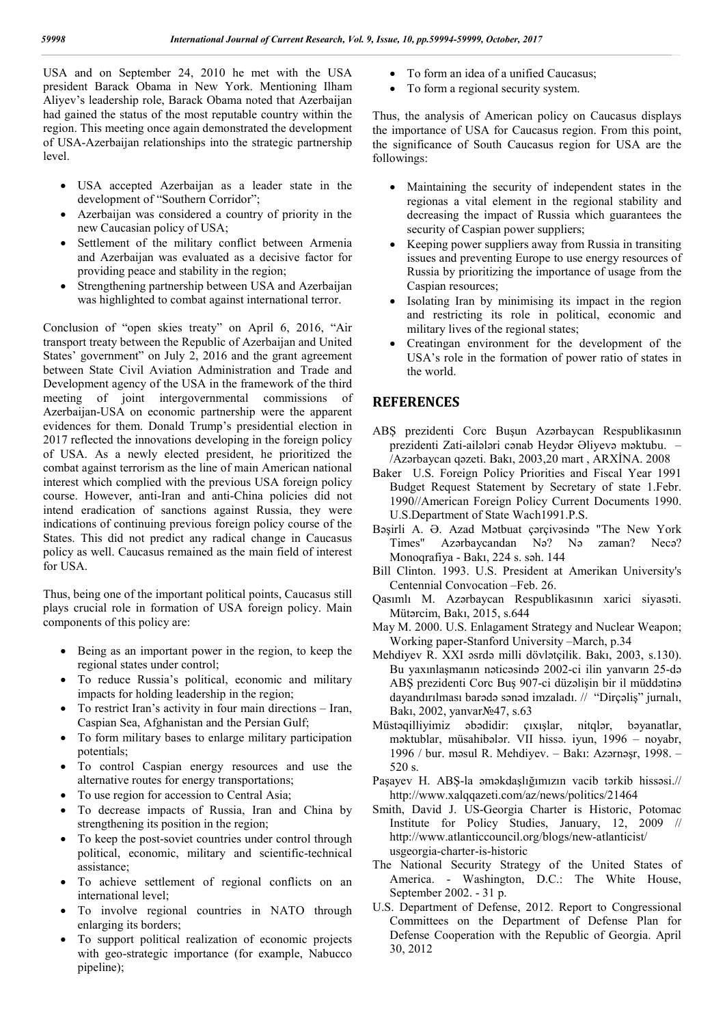USA and on September 24, 2010 he met with the USA president Barack Obama in New York. Mentioning Ilham Aliyev's leadership role, Barack Obama noted that Azerbaijan had gained the status of the most reputable country within the region. This meeting once again demonstrated the development of USA-Azerbaijan relationships into the strategic partnership level.

- USA accepted Azerbaijan as a leader state in the development of "Southern Corridor";
- Azerbaijan was considered a country of priority in the new Caucasian policy of USA;
- Settlement of the military conflict between Armenia and Azerbaijan was evaluated as a decisive factor for providing peace and stability in the region;
- Strengthening partnership between USA and Azerbaijan was highlighted to combat against international terror.

Conclusion of "open skies treaty" on April 6, 2016, "Air transport treaty between the Republic of Azerbaijan and United States' government" on July 2, 2016 and the grant agreement between State Civil Aviation Administration and Trade and Development agency of the USA in the framework of the third meeting of joint intergovernmental commissions of Azerbaijan-USA on economic partnership were the apparent evidences for them. Donald Trump's presidential election in 2017 reflected the innovations developing in the foreign policy of USA. As a newly elected president, he prioritized the combat against terrorism as the line of main American national interest which complied with the previous USA foreign policy course. However, anti-Iran and anti-China policies did not intend eradication of sanctions against Russia, they were indications of continuing previous foreign policy course of the States. This did not predict any radical change in Caucasus policy as well. Caucasus remained as the main field of interest for USA.

Thus, being one of the important political points, Caucasus still plays crucial role in formation of USA foreign policy. Main components of this policy are:

- Being as an important power in the region, to keep the regional states under control;
- To reduce Russia's political, economic and military impacts for holding leadership in the region;
- To restrict Iran's activity in four main directions Iran, Caspian Sea, Afghanistan and the Persian Gulf;
- To form military bases to enlarge military participation potentials;
- To control Caspian energy resources and use the alternative routes for energy transportations;
- To use region for accession to Central Asia;
- To decrease impacts of Russia, Iran and China by strengthening its position in the region;
- To keep the post-soviet countries under control through political, economic, military and scientific-technical assistance;
- To achieve settlement of regional conflicts on an international level;
- To involve regional countries in NATO through enlarging its borders;
- To support political realization of economic projects with geo-strategic importance (for example, Nabucco pipeline);
- To form an idea of a unified Caucasus;
- To form a regional security system.

Thus, the analysis of American policy on Caucasus displays the importance of USA for Caucasus region. From this point, the significance of South Caucasus region for USA are the followings:

- Maintaining the security of independent states in the regionas a vital element in the regional stability and decreasing the impact of Russia which guarantees the security of Caspian power suppliers;
- Keeping power suppliers away from Russia in transiting issues and preventing Europe to use energy resources of Russia by prioritizing the importance of usage from the Caspian resources;
- Isolating Iran by minimising its impact in the region and restricting its role in political, economic and military lives of the regional states;
- Creatingan environment for the development of the USA's role in the formation of power ratio of states in the world.

## **REFERENCES**

- ABŞ prezidenti Corc Buşun Azərbaycan Respublikasının prezidenti Zati-ailələri cənab Heydər Əliyevə məktubu. – /Azərbaycan qəzeti. Bakı, 2003,20 mart , ARXİNA. 2008
- Baker U.S. Foreign Policy Priorities and Fiscal Year 1991 Budget Request Statement by Secretary of state 1.Febr. 1990//American Foreign Policy Current Documents 1990. U.S.Department of State Wach1991.P.S.
- Bəşirli A. Ə. Azad Mətbuat çərçivəsində "The New York Times" Azərbaycandan Nə? Nə zaman? Necə? Monoqrafiya - Bakı, 224 s. səh. 144
- Bill Clinton. 1993. U.S. President at Amerikan University's Centennial Convocation –Feb. 26.
- Qasımlı M. Azərbaycan Respublikasının xarici siyasəti. Mütərcim, Bakı, 2015, s.644
- May M. 2000. U.S. Enlagament Strategy and Nuclear Weapon; Working paper-Stanford University –March, p.34
- Mehdiyev R. XXI əsrdə milli dövlətçilik. Bakı, 2003, s.130). Bu yaxınlaşmanın nəticəsində 2002-ci ilin yanvarın 25-də ABŞ prezidenti Corc Buş 907-ci düzəlişin bir il müddətinə dayandırılması barədə sənəd imzaladı. // "Dirçəliş" jurnalı, Bakı, 2002, yanvar№47, s.63
- Müstəqilliyimiz əbədidir: çıxışlar, nitqlər, bəyanatlar, məktublar, müsahibələr. VII hissə. iyun, 1996 – noyabr, 1996 / bur. məsul R. Mehdiyev. – Bakı: Azərnəşr, 1998. – 520 s.
- Paşayev H. ABŞ-la əməkdaşlığımızın vacib tərkib hissəsi.// http://www.xalqqazeti.com/az/news/politics/21464
- Smith, David J. US-Georgia Charter is Historic, Potomac Institute for Policy Studies, January, 12, 2009 // http://www.atlanticcouncil.org/blogs/new-atlanticist/ usgeorgia-charter-is-historic
- The National Security Strategy of the United States of America. - Washington, D.C.: The White House, September 2002. - 31 p.
- U.S. Department of Defense, 2012. Report to Congressional Committees on the Department of Defense Plan for Defense Cooperation with the Republic of Georgia. April 30, 2012